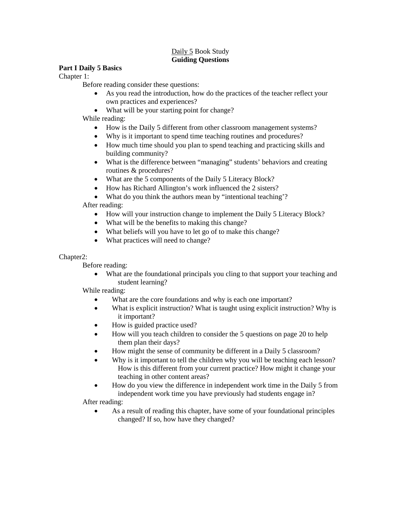# Daily 5 Book Study **Guiding Questions**

# **Part I Daily 5 Basics**

Chapter 1:

Before reading consider these questions:

- As you read the introduction, how do the practices of the teacher reflect your own practices and experiences?
- What will be your starting point for change?

While reading:

- How is the Daily 5 different from other classroom management systems?
- Why is it important to spend time teaching routines and procedures?
- How much time should you plan to spend teaching and practicing skills and building community?
- What is the difference between "managing" students' behaviors and creating routines & procedures?
- What are the 5 components of the Daily 5 Literacy Block?
- How has Richard Allington's work influenced the 2 sisters?
- What do you think the authors mean by "intentional teaching'?

After reading:

- How will your instruction change to implement the Daily 5 Literacy Block?
- What will be the benefits to making this change?
- What beliefs will you have to let go of to make this change?
- What practices will need to change?

# Chapter2:

Before reading:

• What are the foundational principals you cling to that support your teaching and student learning?

While reading:

- What are the core foundations and why is each one important?
- What is explicit instruction? What is taught using explicit instruction? Why is it important?
- How is guided practice used?
- How will you teach children to consider the 5 questions on page 20 to help them plan their days?
- How might the sense of community be different in a Daily 5 classroom?
- Why is it important to tell the children why you will be teaching each lesson? How is this different from your current practice? How might it change your teaching in other content areas?
- How do you view the difference in independent work time in the Daily 5 from independent work time you have previously had students engage in?

After reading:

• As a result of reading this chapter, have some of your foundational principles changed? If so, how have they changed?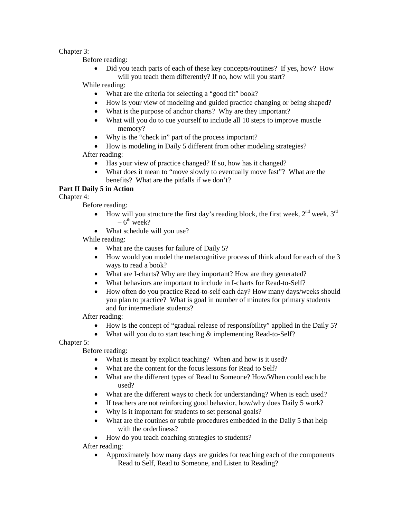## Chapter 3:

Before reading:

• Did you teach parts of each of these key concepts/routines? If yes, how? How will you teach them differently? If no, how will you start?

While reading:

- What are the criteria for selecting a "good fit" book?
- How is your view of modeling and guided practice changing or being shaped?
- What is the purpose of anchor charts? Why are they important?
- What will you do to cue yourself to include all 10 steps to improve muscle memory?
- Why is the "check in" part of the process important?
- How is modeling in Daily 5 different from other modeling strategies?

After reading:

- Has your view of practice changed? If so, how has it changed?
- What does it mean to "move slowly to eventually move fast"? What are the benefits? What are the pitfalls if we don't?

# **Part II Daily 5 in Action**

Chapter 4:

Before reading:

- How will you structure the first day's reading block, the first week,  $2<sup>nd</sup>$  week,  $3<sup>rd</sup>$  $-6^{th}$  week?
- What schedule will you use?

While reading:

- What are the causes for failure of Daily 5?
- How would you model the metacognitive process of think aloud for each of the 3 ways to read a book?
- What are I-charts? Why are they important? How are they generated?
- What behaviors are important to include in I-charts for Read-to-Self?
- How often do you practice Read-to-self each day? How many days/weeks should you plan to practice? What is goal in number of minutes for primary students and for intermediate students?

After reading:

- How is the concept of "gradual release of responsibility" applied in the Daily 5?
- What will you do to start teaching & implementing Read-to-Self?

Chapter 5:

Before reading:

- What is meant by explicit teaching? When and how is it used?
- What are the content for the focus lessons for Read to Self?
- What are the different types of Read to Someone? How/When could each be used?
- What are the different ways to check for understanding? When is each used?
- If teachers are not reinforcing good behavior, how/why does Daily 5 work?
- Why is it important for students to set personal goals?
- What are the routines or subtle procedures embedded in the Daily 5 that help with the orderliness?
- How do you teach coaching strategies to students?

After reading:

• Approximately how many days are guides for teaching each of the components Read to Self, Read to Someone, and Listen to Reading?